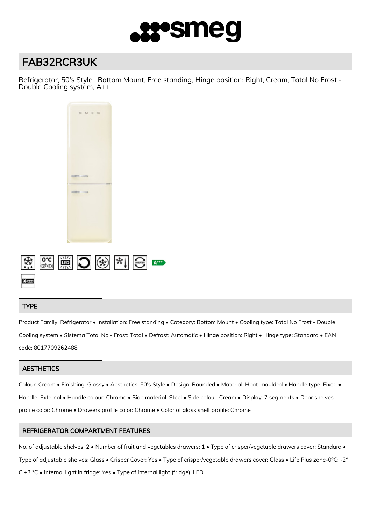

# FAB32RCR3UK

Refrigerator, 50's Style , Bottom Mount, Free standing, Hinge position: Right, Cream, Total No Frost - Double Cooling system, A+++



## TYPE

Product Family: Refrigerator • Installation: Free standing • Category: Bottom Mount • Cooling type: Total No Frost - Double Cooling system • Sistema Total No - Frost: Total • Defrost: Automatic • Hinge position: Right • Hinge type: Standard • EAN code: 8017709262488

## **AESTHETICS**

Colour: Cream • Finishing: Glossy • Aesthetics: 50's Style • Design: Rounded • Material: Heat-moulded • Handle type: Fixed • Handle: External • Handle colour: Chrome • Side material: Steel • Side colour: Cream • Display: 7 segments • Door shelves profile color: Chrome • Drawers profile color: Chrome • Color of glass shelf profile: Chrome

## REFRIGERATOR COMPARTMENT FEATURES

No. of adjustable shelves: 2 • Number of fruit and vegetables drawers: 1 • Type of crisper/vegetable drawers cover: Standard • Type of adjustable shelves: Glass • Crisper Cover: Yes • Type of crisper/vegetable drawers cover: Glass • Life Plus zone-0°C: -2° C +3 °C • Internal light in fridge: Yes • Type of internal light (fridge): LED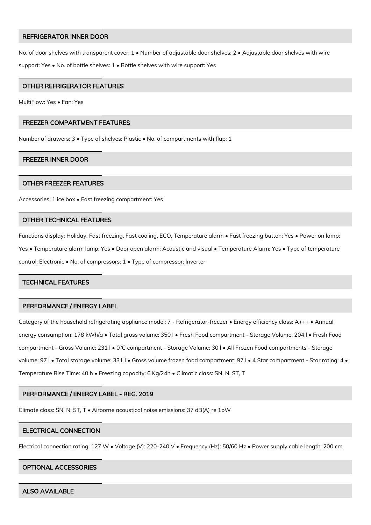#### REFRIGERATOR INNER DOOR

No. of door shelves with transparent cover: 1 • Number of adjustable door shelves: 2 • Adjustable door shelves with wire support: Yes • No. of bottle shelves: 1 • Bottle shelves with wire support: Yes

## OTHER REFRIGERATOR FEATURES

MultiFlow: Yes • Fan: Yes

#### FREEZER COMPARTMENT FEATURES

Number of drawers: 3 • Type of shelves: Plastic • No. of compartments with flap: 1

#### FREEZER INNER DOOR

#### OTHER FREEZER FEATURES

Accessories: 1 ice box • Fast freezing compartment: Yes

## OTHER TECHNICAL FEATURES

Functions display: Holiday, Fast freezing, Fast cooling, ECO, Temperature alarm • Fast freezing button: Yes • Power on lamp: Yes • Temperature alarm lamp: Yes • Door open alarm: Acoustic and visual • Temperature Alarm: Yes • Type of temperature control: Electronic • No. of compressors: 1 • Type of compressor: Inverter

## TECHNICAL FEATURES

## PERFORMANCE / ENERGY LABEL

Category of the household refrigerating appliance model: 7 - Refrigerator-freezer • Energy efficiency class: A+++ • Annual energy consumption: 178 kWh/a • Total gross volume: 350 l • Fresh Food compartment - Storage Volume: 204 l • Fresh Food compartment - Gross Volume: 231 l • 0°C compartment - Storage Volume: 30 l • All Frozen Food compartments - Storage volume: 97 l • Total storage volume: 331 l • Gross volume frozen food compartment: 97 l • 4 Star compartment - Star rating: 4 • Temperature Rise Time: 40 h • Freezing capacity: 6 Kg/24h • Climatic class: SN, N, ST, T

## PERFORMANCE / ENERGY LABEL - REG. 2019

Climate class: SN, N, ST, T • Airborne acoustical noise emissions: 37 dB(A) re 1pW

#### ELECTRICAL CONNECTION

Electrical connection rating: 127 W • Voltage (V): 220-240 V • Frequency (Hz): 50/60 Hz • Power supply cable length: 200 cm

#### OPTIONAL ACCESSORIES

ALSO AVAILABLE